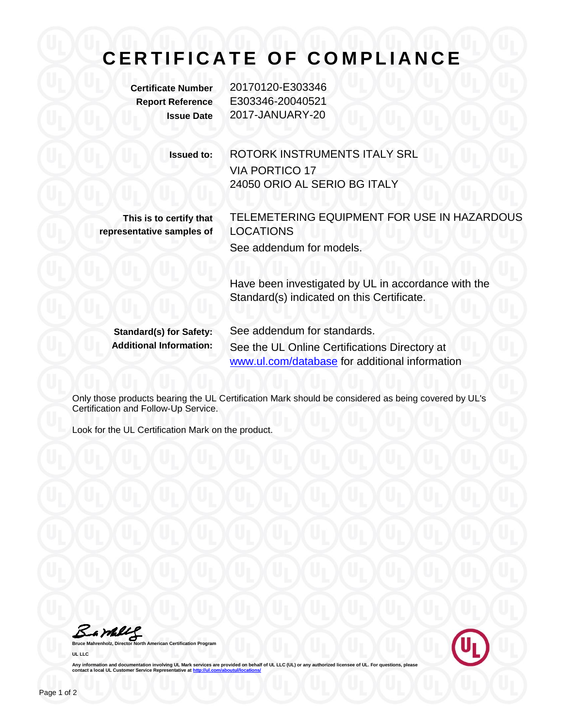## **CERTIFICATE OF COMPLIANCE**

**Certificate Number** 20170120-E303346 **Report Reference** E303346-20040521 **Issue Date** 2017-JANUARY-20

> **Issued to:** ROTORK INSTRUMENTS ITALY SRL VIA PORTICO 17 24050 ORIO AL SERIO BG ITALY

**This is to certify that representative samples of** TELEMETERING EQUIPMENT FOR USE IN HAZARDOUS LOCATIONS See addendum for models.

Have been investigated by UL in accordance with the Standard(s) indicated on this Certificate.

**Standard(s) for Safety:** See addendum for standards. **Additional Information:** See the UL Online Certifications Directory at [www.ul.com/database](http://www.ul.com/database) for additional information

Only those products bearing the UL Certification Mark should be considered as being covered by UL's Certification and Follow-Up Service.

Look for the UL Certification Mark on the product.

Bambly

**Bruce Mahrenholz, Director North American Certification Program UL LLC**



Any information and documentation involving UL Mark services are provided on behalf of UL LLC (UL) or any authorized licensee of UL. For questions, please<br>contact a local UL Customer Service Representative at <u>http://ul.co</u>